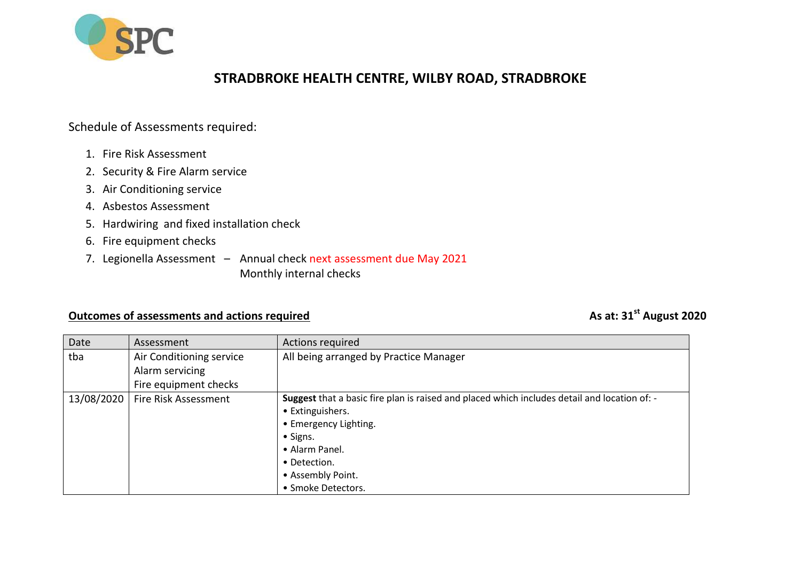

## **STRADBROKE HEALTH CENTRE, WILBY ROAD, STRADBROKE**

## Schedule of Assessments required:

- 1. Fire Risk Assessment
- 2. Security & Fire Alarm service
- 3. Air Conditioning service
- 4. Asbestos Assessment
- 5. Hardwiring and fixed installation check
- 6. Fire equipment checks
- 7. Legionella Assessment Annual check next assessment due May 2021 Monthly internal checks

## **Outcomes of assessments and actions required Assume 2020** As at: 31<sup>st</sup> August 2020

| Date       | Assessment               | Actions required                                                                             |
|------------|--------------------------|----------------------------------------------------------------------------------------------|
| tba        | Air Conditioning service | All being arranged by Practice Manager                                                       |
|            | Alarm servicing          |                                                                                              |
|            | Fire equipment checks    |                                                                                              |
| 13/08/2020 | Fire Risk Assessment     | Suggest that a basic fire plan is raised and placed which includes detail and location of: - |
|            |                          | • Extinguishers.                                                                             |
|            |                          | • Emergency Lighting.                                                                        |
|            |                          | • Signs.                                                                                     |
|            |                          | • Alarm Panel.                                                                               |
|            |                          | • Detection.                                                                                 |
|            |                          | • Assembly Point.                                                                            |
|            |                          | • Smoke Detectors.                                                                           |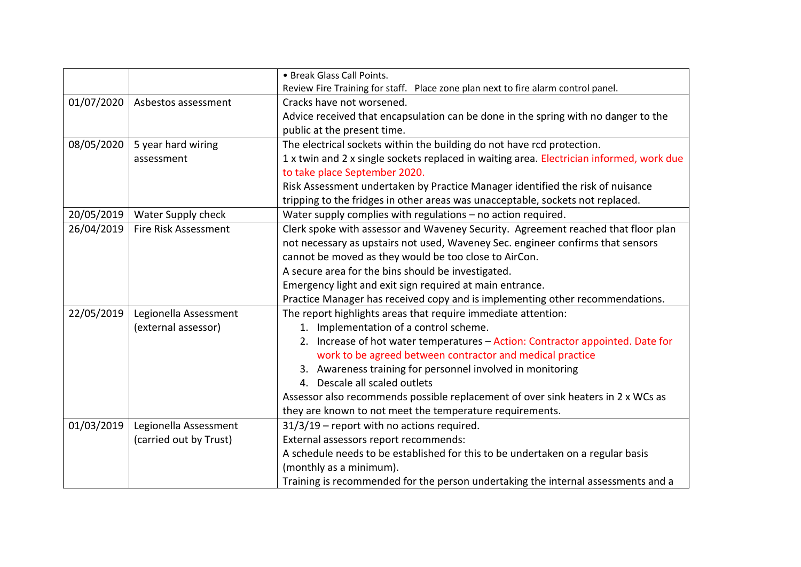|            |                        | • Break Glass Call Points.                                                               |
|------------|------------------------|------------------------------------------------------------------------------------------|
|            |                        | Review Fire Training for staff. Place zone plan next to fire alarm control panel.        |
| 01/07/2020 | Asbestos assessment    | Cracks have not worsened.                                                                |
|            |                        | Advice received that encapsulation can be done in the spring with no danger to the       |
|            |                        | public at the present time.                                                              |
| 08/05/2020 | 5 year hard wiring     | The electrical sockets within the building do not have rcd protection.                   |
|            | assessment             | 1 x twin and 2 x single sockets replaced in waiting area. Electrician informed, work due |
|            |                        | to take place September 2020.                                                            |
|            |                        | Risk Assessment undertaken by Practice Manager identified the risk of nuisance           |
|            |                        | tripping to the fridges in other areas was unacceptable, sockets not replaced.           |
| 20/05/2019 | Water Supply check     | Water supply complies with regulations - no action required.                             |
| 26/04/2019 | Fire Risk Assessment   | Clerk spoke with assessor and Waveney Security. Agreement reached that floor plan        |
|            |                        | not necessary as upstairs not used, Waveney Sec. engineer confirms that sensors          |
|            |                        | cannot be moved as they would be too close to AirCon.                                    |
|            |                        | A secure area for the bins should be investigated.                                       |
|            |                        | Emergency light and exit sign required at main entrance.                                 |
|            |                        | Practice Manager has received copy and is implementing other recommendations.            |
| 22/05/2019 | Legionella Assessment  | The report highlights areas that require immediate attention:                            |
|            | (external assessor)    | 1. Implementation of a control scheme.                                                   |
|            |                        | 2. Increase of hot water temperatures - Action: Contractor appointed. Date for           |
|            |                        | work to be agreed between contractor and medical practice                                |
|            |                        | 3. Awareness training for personnel involved in monitoring                               |
|            |                        | 4. Descale all scaled outlets                                                            |
|            |                        | Assessor also recommends possible replacement of over sink heaters in 2 x WCs as         |
|            |                        | they are known to not meet the temperature requirements.                                 |
| 01/03/2019 | Legionella Assessment  | 31/3/19 - report with no actions required.                                               |
|            | (carried out by Trust) | External assessors report recommends:                                                    |
|            |                        | A schedule needs to be established for this to be undertaken on a regular basis          |
|            |                        | (monthly as a minimum).                                                                  |
|            |                        | Training is recommended for the person undertaking the internal assessments and a        |